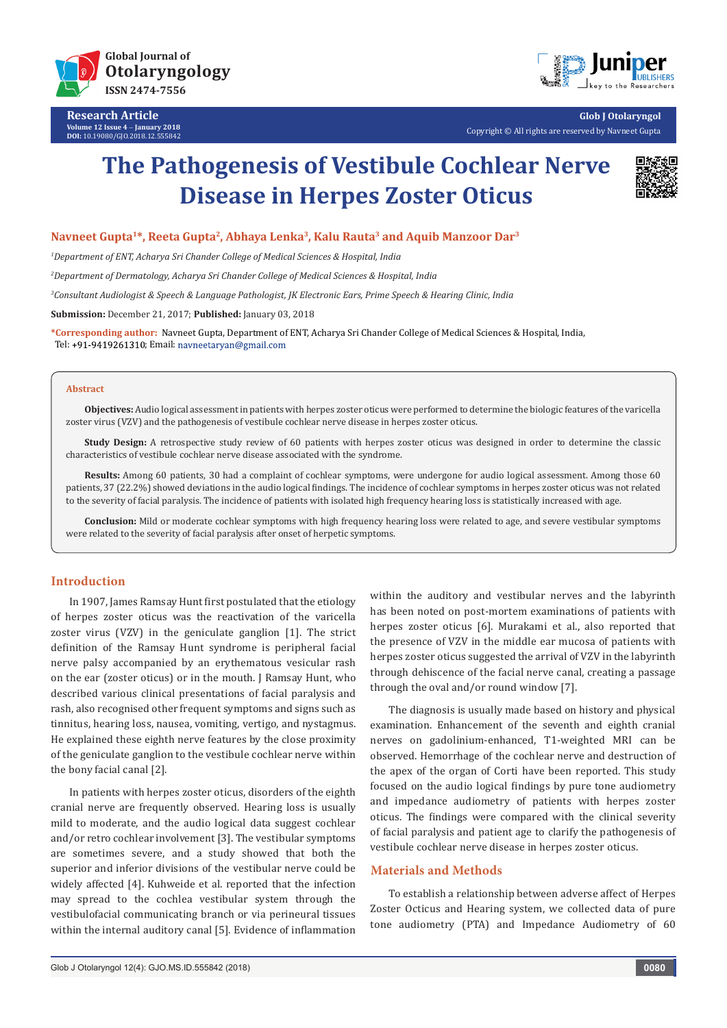

**Research Article Volume 12 Issue 4** - **January 2018 DOI:** [10.19080/GJO.2018.12.555842](http://dx.doi.org/10.19080/GJO.2018.12.555842)



**Glob J Otolaryngol** Copyright © All rights are reserved by Navneet Gupta

# **The Pathogenesis of Vestibule Cochlear Nerve Disease in Herpes Zoster Oticus**



## **Navneet Gupta1\*, Reeta Gupta2, Abhaya Lenka3, Kalu Rauta3 and Aquib Manzoor Dar3**

*1 Department of ENT, Acharya Sri Chander College of Medical Sciences & Hospital, India*

*2 Department of Dermatology, Acharya Sri Chander College of Medical Sciences & Hospital, India*

*3 Consultant Audiologist & Speech & Language Pathologist, JK Electronic Ears, Prime Speech & Hearing Clinic, India*

**Submission:** December 21, 2017; **Published:** January 03, 2018

**\*Corresponding author:** Navneet Gupta, Department of ENT, Acharya Sri Chander College of Medical Sciences & Hospital, India, Tel: +91-9419261310; Email: navneetaryan@gmail.com

#### **Abstract**

**Objectives:** Audio logical assessment in patients with herpes zoster oticus were performed to determine the biologic features of the varicella zoster virus (VZV) and the pathogenesis of vestibule cochlear nerve disease in herpes zoster oticus.

**Study Design:** A retrospective study review of 60 patients with herpes zoster oticus was designed in order to determine the classic characteristics of vestibule cochlear nerve disease associated with the syndrome.

**Results:** Among 60 patients, 30 had a complaint of cochlear symptoms, were undergone for audio logical assessment. Among those 60 patients, 37 (22.2%) showed deviations in the audio logical findings. The incidence of cochlear symptoms in herpes zoster oticus was not related to the severity of facial paralysis. The incidence of patients with isolated high frequency hearing loss is statistically increased with age.

**Conclusion:** Mild or moderate cochlear symptoms with high frequency hearing loss were related to age, and severe vestibular symptoms were related to the severity of facial paralysis after onset of herpetic symptoms.

# **Introduction**

In 1907, James Ramsay Hunt first postulated that the etiology of herpes zoster oticus was the reactivation of the varicella zoster virus (VZV) in the geniculate ganglion [1]. The strict definition of the Ramsay Hunt syndrome is peripheral facial nerve palsy accompanied by an erythematous vesicular rash on the ear (zoster oticus) or in the mouth. J Ramsay Hunt, who described various clinical presentations of facial paralysis and rash, also recognised other frequent symptoms and signs such as tinnitus, hearing loss, nausea, vomiting, vertigo, and nystagmus. He explained these eighth nerve features by the close proximity of the geniculate ganglion to the vestibule cochlear nerve within the bony facial canal [2].

In patients with herpes zoster oticus, disorders of the eighth cranial nerve are frequently observed. Hearing loss is usually mild to moderate, and the audio logical data suggest cochlear and/or retro cochlear involvement [3]. The vestibular symptoms are sometimes severe, and a study showed that both the superior and inferior divisions of the vestibular nerve could be widely affected [4]. Kuhweide et al. reported that the infection may spread to the cochlea vestibular system through the vestibulofacial communicating branch or via perineural tissues within the internal auditory canal [5]. Evidence of inflammation

within the auditory and vestibular nerves and the labyrinth has been noted on post-mortem examinations of patients with herpes zoster oticus [6]. Murakami et al., also reported that the presence of VZV in the middle ear mucosa of patients with herpes zoster oticus suggested the arrival of VZV in the labyrinth through dehiscence of the facial nerve canal, creating a passage through the oval and/or round window [7].

The diagnosis is usually made based on history and physical examination. Enhancement of the seventh and eighth cranial nerves on gadolinium-enhanced, T1-weighted MRI can be observed. Hemorrhage of the cochlear nerve and destruction of the apex of the organ of Corti have been reported. This study focused on the audio logical findings by pure tone audiometry and impedance audiometry of patients with herpes zoster oticus. The findings were compared with the clinical severity of facial paralysis and patient age to clarify the pathogenesis of vestibule cochlear nerve disease in herpes zoster oticus.

## **Materials and Methods**

To establish a relationship between adverse affect of Herpes Zoster Octicus and Hearing system, we collected data of pure tone audiometry (PTA) and Impedance Audiometry of 60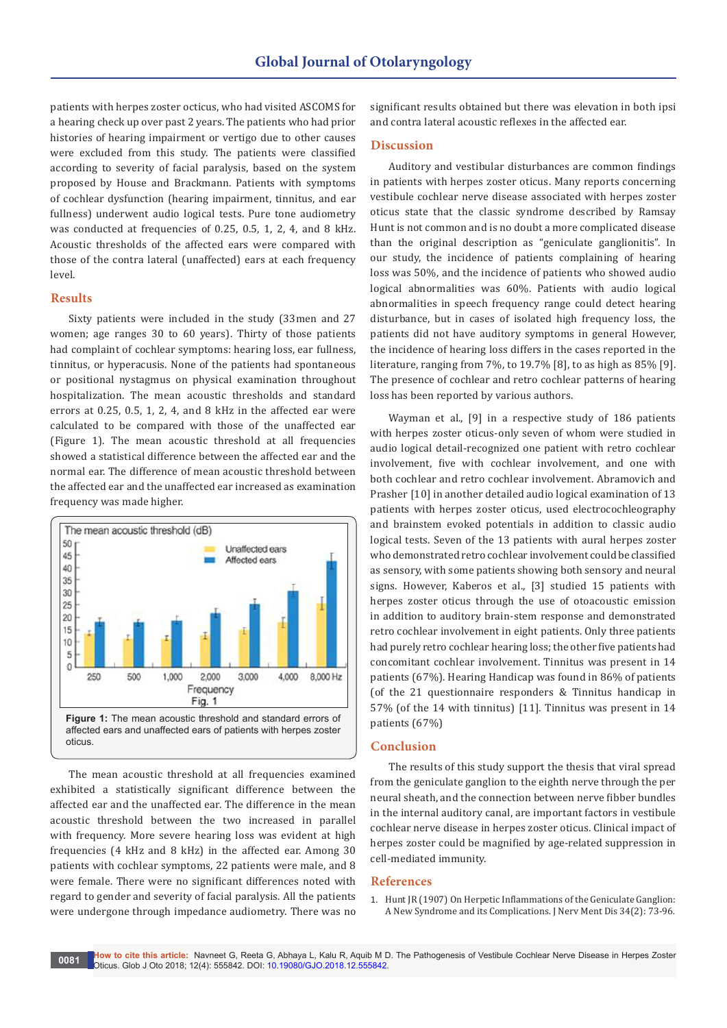patients with herpes zoster octicus, who had visited ASCOMS for a hearing check up over past 2 years. The patients who had prior histories of hearing impairment or vertigo due to other causes were excluded from this study. The patients were classified according to severity of facial paralysis, based on the system proposed by House and Brackmann. Patients with symptoms of cochlear dysfunction (hearing impairment, tinnitus, and ear fullness) underwent audio logical tests. Pure tone audiometry was conducted at frequencies of 0.25, 0.5, 1, 2, 4, and 8 kHz. Acoustic thresholds of the affected ears were compared with those of the contra lateral (unaffected) ears at each frequency level.

## **Results**

Sixty patients were included in the study (33men and 27 women; age ranges 30 to 60 years). Thirty of those patients had complaint of cochlear symptoms: hearing loss, ear fullness, tinnitus, or hyperacusis. None of the patients had spontaneous or positional nystagmus on physical examination throughout hospitalization. The mean acoustic thresholds and standard errors at 0.25, 0.5, 1, 2, 4, and 8 kHz in the affected ear were calculated to be compared with those of the unaffected ear (Figure 1). The mean acoustic threshold at all frequencies showed a statistical difference between the affected ear and the normal ear. The difference of mean acoustic threshold between the affected ear and the unaffected ear increased as examination frequency was made higher.



The mean acoustic threshold at all frequencies examined exhibited a statistically significant difference between the affected ear and the unaffected ear. The difference in the mean acoustic threshold between the two increased in parallel with frequency. More severe hearing loss was evident at high frequencies (4 kHz and 8 kHz) in the affected ear. Among 30 patients with cochlear symptoms, 22 patients were male, and 8 were female. There were no significant differences noted with regard to gender and severity of facial paralysis. All the patients were undergone through impedance audiometry. There was no

significant results obtained but there was elevation in both ipsi and contra lateral acoustic reflexes in the affected ear.

## **Discussion**

Auditory and vestibular disturbances are common findings in patients with herpes zoster oticus. Many reports concerning vestibule cochlear nerve disease associated with herpes zoster oticus state that the classic syndrome described by Ramsay Hunt is not common and is no doubt a more complicated disease than the original description as "geniculate ganglionitis". In our study, the incidence of patients complaining of hearing loss was 50%, and the incidence of patients who showed audio logical abnormalities was 60%. Patients with audio logical abnormalities in speech frequency range could detect hearing disturbance, but in cases of isolated high frequency loss, the patients did not have auditory symptoms in general However, the incidence of hearing loss differs in the cases reported in the literature, ranging from 7%, to 19.7% [8], to as high as 85% [9]. The presence of cochlear and retro cochlear patterns of hearing loss has been reported by various authors.

Wayman et al., [9] in a respective study of 186 patients with herpes zoster oticus-only seven of whom were studied in audio logical detail-recognized one patient with retro cochlear involvement, five with cochlear involvement, and one with both cochlear and retro cochlear involvement. Abramovich and Prasher [10] in another detailed audio logical examination of 13 patients with herpes zoster oticus, used electrocochleography and brainstem evoked potentials in addition to classic audio logical tests. Seven of the 13 patients with aural herpes zoster who demonstrated retro cochlear involvement could be classified as sensory, with some patients showing both sensory and neural signs. However, Kaberos et al., [3] studied 15 patients with herpes zoster oticus through the use of otoacoustic emission in addition to auditory brain-stem response and demonstrated retro cochlear involvement in eight patients. Only three patients had purely retro cochlear hearing loss; the other five patients had concomitant cochlear involvement. Tinnitus was present in 14 patients (67%). Hearing Handicap was found in 86% of patients (of the 21 questionnaire responders & Tinnitus handicap in 57% (of the 14 with tinnitus) [11]. Tinnitus was present in 14 patients (67%)

## **Conclusion**

The results of this study support the thesis that viral spread from the geniculate ganglion to the eighth nerve through the per neural sheath, and the connection between nerve fibber bundles in the internal auditory canal, are important factors in vestibule cochlear nerve disease in herpes zoster oticus. Clinical impact of herpes zoster could be magnified by age-related suppression in cell-mediated immunity.

#### **References**

1. [Hunt JR \(1907\) On Herpetic Inflammations of the Geniculate Ganglion:](http://journals.lww.com/jonmd/Citation/1907/02000/ON_HERPETIC_INFLAMMATIONS_OF_THE_GENICULATE.1.aspx)  [A New Syndrome and its Complications. J Nerv Ment Dis 34\(2\): 73-96.](http://journals.lww.com/jonmd/Citation/1907/02000/ON_HERPETIC_INFLAMMATIONS_OF_THE_GENICULATE.1.aspx)